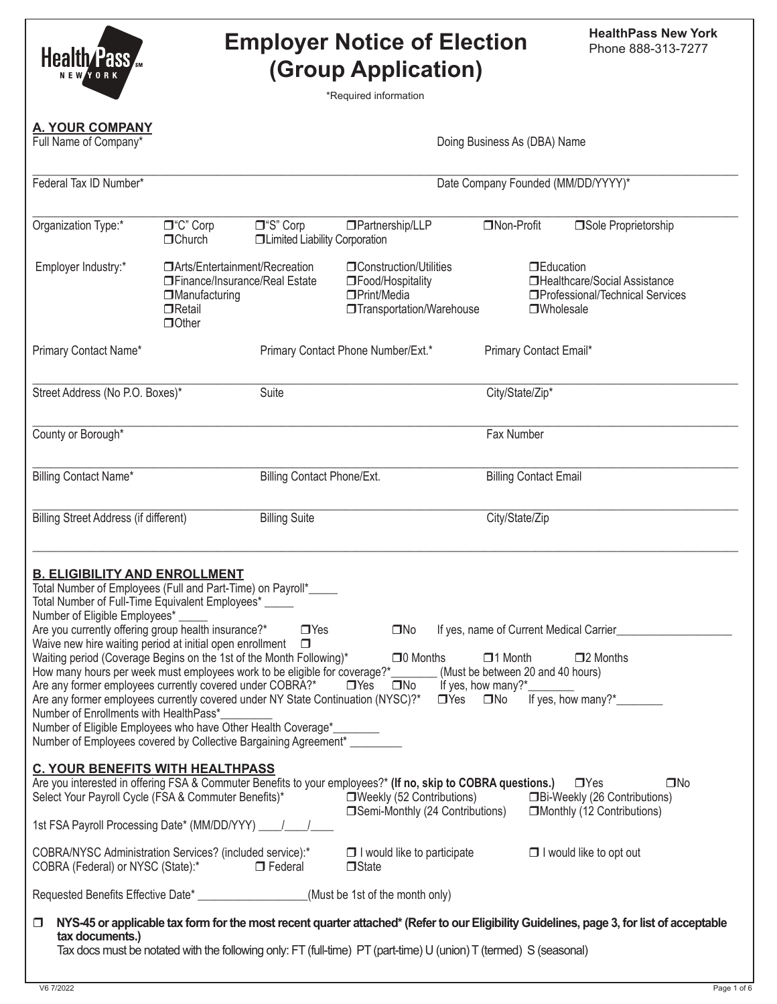| Health/Pass<br><b>NEWYORK</b>                                                                                                                                                                                                                                                                                                                                                                                                                                                                                                                                                                                                                                                                                                                                                                                                                                                                                                                                                                                                                                                                  |                                                                                                                              |                                                    | <b>Employer Notice of Election</b><br>(Group Application)<br>*Required information                                |                                        | <b>HealthPass New York</b><br>Phone 888-313-7277                                                                                         |
|------------------------------------------------------------------------------------------------------------------------------------------------------------------------------------------------------------------------------------------------------------------------------------------------------------------------------------------------------------------------------------------------------------------------------------------------------------------------------------------------------------------------------------------------------------------------------------------------------------------------------------------------------------------------------------------------------------------------------------------------------------------------------------------------------------------------------------------------------------------------------------------------------------------------------------------------------------------------------------------------------------------------------------------------------------------------------------------------|------------------------------------------------------------------------------------------------------------------------------|----------------------------------------------------|-------------------------------------------------------------------------------------------------------------------|----------------------------------------|------------------------------------------------------------------------------------------------------------------------------------------|
| <b>A. YOUR COMPANY</b><br>Full Name of Company*                                                                                                                                                                                                                                                                                                                                                                                                                                                                                                                                                                                                                                                                                                                                                                                                                                                                                                                                                                                                                                                |                                                                                                                              |                                                    |                                                                                                                   | Doing Business As (DBA) Name           |                                                                                                                                          |
| Federal Tax ID Number*                                                                                                                                                                                                                                                                                                                                                                                                                                                                                                                                                                                                                                                                                                                                                                                                                                                                                                                                                                                                                                                                         |                                                                                                                              |                                                    |                                                                                                                   | Date Company Founded (MM/DD/YYYY)*     |                                                                                                                                          |
| Organization Type:*                                                                                                                                                                                                                                                                                                                                                                                                                                                                                                                                                                                                                                                                                                                                                                                                                                                                                                                                                                                                                                                                            | □"C" Corp<br>$\Box$ Church                                                                                                   | □"S" Corp<br><b>ILimited Liability Corporation</b> | □Partnership/LLP                                                                                                  | □Non-Profit                            | Sole Proprietorship                                                                                                                      |
| Employer Industry:*                                                                                                                                                                                                                                                                                                                                                                                                                                                                                                                                                                                                                                                                                                                                                                                                                                                                                                                                                                                                                                                                            | □ Arts/Entertainment/Recreation<br>□ Finance/Insurance/Real Estate<br><b>IManufacturing</b><br>$\Box$ Retail<br>$\Box$ Other |                                                    | <b>Construction/Utilities</b><br>□Food/Hospitality<br>□Print/Media<br>□Transportation/Warehouse                   | $\n  TE duration$<br><b>OWholesale</b> | □Healthcare/Social Assistance<br>□Professional/Technical Services                                                                        |
| Primary Contact Name*                                                                                                                                                                                                                                                                                                                                                                                                                                                                                                                                                                                                                                                                                                                                                                                                                                                                                                                                                                                                                                                                          |                                                                                                                              |                                                    | Primary Contact Phone Number/Ext.*                                                                                | Primary Contact Email*                 |                                                                                                                                          |
| Street Address (No P.O. Boxes)*                                                                                                                                                                                                                                                                                                                                                                                                                                                                                                                                                                                                                                                                                                                                                                                                                                                                                                                                                                                                                                                                |                                                                                                                              | Suite                                              |                                                                                                                   | City/State/Zip*                        |                                                                                                                                          |
| County or Borough*                                                                                                                                                                                                                                                                                                                                                                                                                                                                                                                                                                                                                                                                                                                                                                                                                                                                                                                                                                                                                                                                             |                                                                                                                              |                                                    |                                                                                                                   | Fax Number                             |                                                                                                                                          |
| Billing Contact Name*                                                                                                                                                                                                                                                                                                                                                                                                                                                                                                                                                                                                                                                                                                                                                                                                                                                                                                                                                                                                                                                                          |                                                                                                                              | <b>Billing Contact Phone/Ext.</b>                  |                                                                                                                   | <b>Billing Contact Email</b>           |                                                                                                                                          |
| <b>Billing Street Address (if different)</b>                                                                                                                                                                                                                                                                                                                                                                                                                                                                                                                                                                                                                                                                                                                                                                                                                                                                                                                                                                                                                                                   |                                                                                                                              | <b>Billing Suite</b>                               |                                                                                                                   | City/State/Zip                         |                                                                                                                                          |
| <b>B. ELIGIBILITY AND ENROLLMENT</b><br>Total Number of Employees (Full and Part-Time) on Payroll*_____<br>Total Number of Full-Time Equivalent Employees* _____<br>Number of Eligible Employees*<br>Are you currently offering group health insurance?*<br>$\Box$ Yes<br>$\square$ No<br>If yes, name of Current Medical Carrier<br>Waive new hire waiting period at initial open enrollment $\Box$<br>Waiting period (Coverage Begins on the 1st of the Month Following)*<br>$\Box$ 0 Months<br>$\Box$ 1 Month<br>$\square$ 2 Months<br>How many hours per week must employees work to be eligible for coverage?*________(Must be between 20 and 40 hours)<br>$\Box$ Yes $\Box$ No If yes, how many?*__<br>Are any former employees currently covered under COBRA?*<br>If yes, how many?*<br>Are any former employees currently covered under NY State Continuation (NYSC)?*<br>$\Box$ Yes $\Box$ No<br>Number of Enrollments with HealthPass*<br>Number of Eligible Employees who have Other Health Coverage*_<br>Number of Employees covered by Collective Bargaining Agreement* _________ |                                                                                                                              |                                                    |                                                                                                                   |                                        |                                                                                                                                          |
| <b>C. YOUR BENEFITS WITH HEALTHPASS</b><br>Are you interested in offering FSA & Commuter Benefits to your employees?* (If no, skip to COBRA questions.) □ Yes<br>$\square$ No<br>Select Your Payroll Cycle (FSA & Commuter Benefits)*<br>□Weekly (52 Contributions) □Bi-Weekly (26 Contributions)<br>□Semi-Monthly (24 Contributions) □Monthly (12 Contributions)                                                                                                                                                                                                                                                                                                                                                                                                                                                                                                                                                                                                                                                                                                                              |                                                                                                                              |                                                    |                                                                                                                   |                                        |                                                                                                                                          |
| 1st FSA Payroll Processing Date* (MM/DD/YYY)   / /                                                                                                                                                                                                                                                                                                                                                                                                                                                                                                                                                                                                                                                                                                                                                                                                                                                                                                                                                                                                                                             |                                                                                                                              |                                                    |                                                                                                                   |                                        |                                                                                                                                          |
| COBRA/NYSC Administration Services? (included service):*<br>COBRA (Federal) or NYSC (State):*                                                                                                                                                                                                                                                                                                                                                                                                                                                                                                                                                                                                                                                                                                                                                                                                                                                                                                                                                                                                  |                                                                                                                              | $\Box$ Federal                                     | $\Box$ I would like to participate<br>$\Box$ State                                                                |                                        | $\Box$ I would like to opt out                                                                                                           |
| Requested Benefits Effective Date* ___________________(Must be 1st of the month only)                                                                                                                                                                                                                                                                                                                                                                                                                                                                                                                                                                                                                                                                                                                                                                                                                                                                                                                                                                                                          |                                                                                                                              |                                                    |                                                                                                                   |                                        |                                                                                                                                          |
| □<br>tax documents.)                                                                                                                                                                                                                                                                                                                                                                                                                                                                                                                                                                                                                                                                                                                                                                                                                                                                                                                                                                                                                                                                           |                                                                                                                              |                                                    | Tax docs must be notated with the following only: FT (full-time) PT (part-time) U (union) T (termed) S (seasonal) |                                        | NYS-45 or applicable tax form for the most recent quarter attached* (Refer to our Eligibility Guidelines, page 3, for list of acceptable |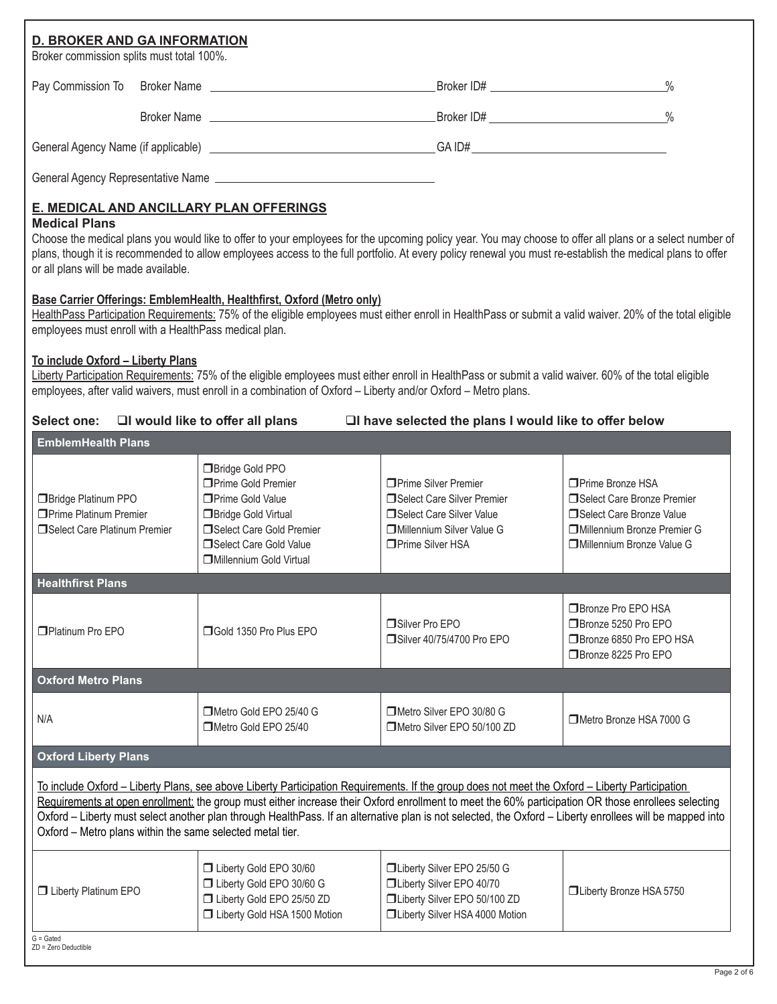| Broker commission splits must total 100%.                                                     | <b>D. BROKER AND GA INFORMATION</b> |                                                                                                                                                                                            |                                                                                                                                                                                                                                                                         |                                                                                                                                                                                                                                                                                                                       |
|-----------------------------------------------------------------------------------------------|-------------------------------------|--------------------------------------------------------------------------------------------------------------------------------------------------------------------------------------------|-------------------------------------------------------------------------------------------------------------------------------------------------------------------------------------------------------------------------------------------------------------------------|-----------------------------------------------------------------------------------------------------------------------------------------------------------------------------------------------------------------------------------------------------------------------------------------------------------------------|
|                                                                                               |                                     |                                                                                                                                                                                            |                                                                                                                                                                                                                                                                         | $\frac{0}{0}$                                                                                                                                                                                                                                                                                                         |
|                                                                                               |                                     |                                                                                                                                                                                            |                                                                                                                                                                                                                                                                         |                                                                                                                                                                                                                                                                                                                       |
|                                                                                               |                                     |                                                                                                                                                                                            |                                                                                                                                                                                                                                                                         |                                                                                                                                                                                                                                                                                                                       |
|                                                                                               |                                     |                                                                                                                                                                                            |                                                                                                                                                                                                                                                                         |                                                                                                                                                                                                                                                                                                                       |
| <b>Medical Plans</b><br>or all plans will be made available.                                  |                                     | <b>E. MEDICAL AND ANCILLARY PLAN OFFERINGS</b>                                                                                                                                             |                                                                                                                                                                                                                                                                         | Choose the medical plans you would like to offer to your employees for the upcoming policy year. You may choose to offer all plans or a select number of<br>plans, though it is recommended to allow employees access to the full portfolio. At every policy renewal you must re-establish the medical plans to offer |
| employees must enroll with a HealthPass medical plan.                                         |                                     | Base Carrier Offerings: EmblemHealth, Healthfirst, Oxford (Metro only)                                                                                                                     |                                                                                                                                                                                                                                                                         | HealthPass Participation Requirements: 75% of the eligible employees must either enroll in HealthPass or submit a valid waiver. 20% of the total eligible                                                                                                                                                             |
| To include Oxford - Liberty Plans                                                             |                                     |                                                                                                                                                                                            | Liberty Participation Requirements: 75% of the eligible employees must either enroll in HealthPass or submit a valid waiver. 60% of the total eligible<br>employees, after valid waivers, must enroll in a combination of Oxford - Liberty and/or Oxford - Metro plans. |                                                                                                                                                                                                                                                                                                                       |
| <b>Select one:</b>                                                                            |                                     | $\Box$ I would like to offer all plans                                                                                                                                                     | □I have selected the plans I would like to offer below                                                                                                                                                                                                                  |                                                                                                                                                                                                                                                                                                                       |
| <b>EmblemHealth Plans</b>                                                                     |                                     |                                                                                                                                                                                            |                                                                                                                                                                                                                                                                         |                                                                                                                                                                                                                                                                                                                       |
| <b>Bridge Platinum PPO</b><br><b>OPrime Platinum Premier</b><br>□Select Care Platinum Premier |                                     | Bridge Gold PPO<br>□ Prime Gold Premier<br><b>Prime Gold Value</b><br><b>Bridge Gold Virtual</b><br>Select Care Gold Premier<br>Select Care Gold Value<br><b>I</b> Millennium Gold Virtual | □ Prime Silver Premier<br>Select Care Silver Premier<br>Select Care Silver Value<br><b>IDMillennium Silver Value G</b><br>□ Prime Silver HSA                                                                                                                            | □ Prime Bronze HSA<br>Select Care Bronze Premier<br>Select Care Bronze Value<br><b>IDMillennium Bronze Premier G</b><br>Millennium Bronze Value G                                                                                                                                                                     |
| <b>Healthfirst Plans</b>                                                                      |                                     |                                                                                                                                                                                            |                                                                                                                                                                                                                                                                         |                                                                                                                                                                                                                                                                                                                       |
| Platinum Pro EPO                                                                              |                                     | □ Gold 1350 Pro Plus EPO                                                                                                                                                                   | Silver Pro EPO<br>Silver 40/75/4700 Pro EPO                                                                                                                                                                                                                             | □ Bronze Pro EPO HSA<br>□Bronze 5250 Pro EPO<br>□ Bronze 6850 Pro EPO HSA<br>□Bronze 8225 Pro EPO                                                                                                                                                                                                                     |
| <b>Oxford Metro Plans</b>                                                                     |                                     |                                                                                                                                                                                            |                                                                                                                                                                                                                                                                         |                                                                                                                                                                                                                                                                                                                       |
| N/A                                                                                           |                                     | Metro Gold EPO 25/40 G<br>Metro Gold EPO 25/40                                                                                                                                             | Metro Silver EPO 30/80 G<br>Metro Silver EPO 50/100 ZD                                                                                                                                                                                                                  | □Metro Bronze HSA 7000 G                                                                                                                                                                                                                                                                                              |
| <b>Oxford Liberty Plans</b>                                                                   |                                     |                                                                                                                                                                                            |                                                                                                                                                                                                                                                                         |                                                                                                                                                                                                                                                                                                                       |
|                                                                                               |                                     | Oxford - Metro plans within the same selected metal tier.                                                                                                                                  | To include Oxford – Liberty Plans, see above Liberty Participation Requirements. If the group does not meet the Oxford – Liberty Participation                                                                                                                          | Requirements at open enrollment: the group must either increase their Oxford enrollment to meet the 60% participation OR those enrollees selecting<br>Oxford - Liberty must select another plan through HealthPass. If an alternative plan is not selected, the Oxford - Liberty enrollees will be mapped into        |
| <b>U</b> Liberty Platinum EPO                                                                 |                                     | Liberty Gold EPO 30/60<br>□ Liberty Gold EPO 30/60 G<br>Liberty Gold EPO 25/50 ZD<br>Liberty Gold HSA 1500 Motion                                                                          | □Liberty Silver EPO 25/50 G<br>□Liberty Silver EPO 40/70<br>□Liberty Silver EPO 50/100 ZD<br>□Liberty Silver HSA 4000 Motion                                                                                                                                            | □Liberty Bronze HSA 5750                                                                                                                                                                                                                                                                                              |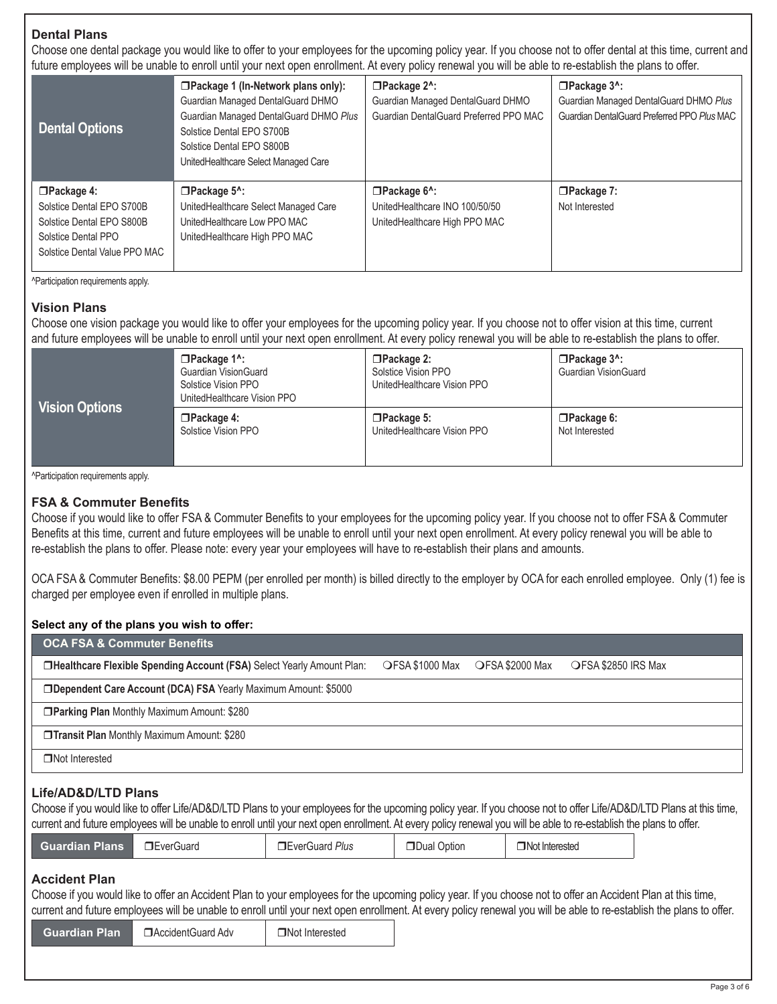## **Dental Plans**

Choose one dental package you would like to offer to your employees for the upcoming policy year. If you choose not to offer dental at this time, current and future employees will be unable to enroll until your next open enrollment. At every policy renewal you will be able to re-establish the plans to offer.

| <b>Dental Options</b>                                                                                                               | aran a arribra laaa rinn wa arrama ta arrian arrin laar riasti abari amammarin si a rai laana han rinn wa ama ta ra aataminari tira bianna ta<br>□Package 1 (In-Network plans only):<br>Guardian Managed DentalGuard DHMO<br>Guardian Managed DentalGuard DHMO Plus<br>Solstice Dental EPO S700B<br>Solstice Dental EPO S800B<br>UnitedHealthcare Select Managed Care | □Package 2^:<br>Guardian Managed DentalGuard DHMO<br>Guardian DentalGuard Preferred PPO MAC        | $\Box$ Package $3^{\wedge}$ :<br>Guardian Managed DentalGuard DHMO Plus<br>Guardian DentalGuard Preferred PPO Plus MAC |
|-------------------------------------------------------------------------------------------------------------------------------------|-----------------------------------------------------------------------------------------------------------------------------------------------------------------------------------------------------------------------------------------------------------------------------------------------------------------------------------------------------------------------|----------------------------------------------------------------------------------------------------|------------------------------------------------------------------------------------------------------------------------|
| $\Box$ Package 4:<br>Solstice Dental EPO S700B<br>Solstice Dental EPO S800B<br>Solstice Dental PPO<br>Solstice Dental Value PPO MAC | $\Box$ Package 5^:<br>UnitedHealthcare Select Managed Care<br>UnitedHealthcare Low PPO MAC<br>UnitedHealthcare High PPO MAC                                                                                                                                                                                                                                           | $\Box$ Package 6 <sup>^</sup> :<br>UnitedHealthcare INO 100/50/50<br>UnitedHealthcare High PPO MAC | $\Box$ Package 7:<br>Not Interested                                                                                    |

^Participation requirements apply.

# **Vision Plans**

Choose one vision package you would like to offer your employees for the upcoming policy year. If you choose not to offer vision at this time, current and future employees will be unable to enroll until your next open enrollment. At every policy renewal you will be able to re-establish the plans to offer.

|                | $\Box$ Package 1^:<br><b>Guardian VisionGuard</b><br>Solstice Vision PPO<br>UnitedHealthcare Vision PPO | $\Box$ Package 2:<br>Solstice Vision PPO<br>UnitedHealthcare Vision PPO | $\Box$ Package $3^{\wedge}$ :<br><b>Guardian VisionGuard</b> |  |
|----------------|---------------------------------------------------------------------------------------------------------|-------------------------------------------------------------------------|--------------------------------------------------------------|--|
| Vision Options | $\Box$ Package 4:                                                                                       | $\Box$ Package 5:                                                       | $\Box$ Package 6:                                            |  |
|                | Solstice Vision PPO                                                                                     | UnitedHealthcare Vision PPO                                             | Not Interested                                               |  |

^Participation requirements apply.

#### **FSA & Commuter Benefits**

Choose if you would like to offer FSA & Commuter Benefits to your employees for the upcoming policy year. If you choose not to offer FSA & Commuter Benefits at this time, current and future employees will be unable to enroll until your next open enrollment. At every policy renewal you will be able to re-establish the plans to offer. Please note: every year your employees will have to re-establish their plans and amounts.

OCA FSA & Commuter Benefits: \$8.00 PEPM (per enrolled per month) is billed directly to the employer by OCA for each enrolled employee. Only (1) fee is charged per employee even if enrolled in multiple plans.

#### **Select any of the plans you wish to offer:**

| <b>OCA FSA &amp; Commuter Benefits</b>                                                                                                                                                                                                                                                                                                                           |                                                                        |                       |             |                  |  |  |  |
|------------------------------------------------------------------------------------------------------------------------------------------------------------------------------------------------------------------------------------------------------------------------------------------------------------------------------------------------------------------|------------------------------------------------------------------------|-----------------------|-------------|------------------|--|--|--|
| OFSA \$2000 Max<br><b>IDHealthcare Flexible Spending Account (FSA)</b> Select Yearly Amount Plan:<br>OFSA \$1000 Max<br>OFSA \$2850 IRS Max                                                                                                                                                                                                                      |                                                                        |                       |             |                  |  |  |  |
|                                                                                                                                                                                                                                                                                                                                                                  | <b>IDependent Care Account (DCA) FSA Yearly Maximum Amount: \$5000</b> |                       |             |                  |  |  |  |
|                                                                                                                                                                                                                                                                                                                                                                  | □ Parking Plan Monthly Maximum Amount: \$280                           |                       |             |                  |  |  |  |
| <b>Transit Plan Monthly Maximum Amount: \$280</b>                                                                                                                                                                                                                                                                                                                |                                                                        |                       |             |                  |  |  |  |
| □Not Interested                                                                                                                                                                                                                                                                                                                                                  |                                                                        |                       |             |                  |  |  |  |
| Life/AD&D/LTD Plans<br>Choose if you would like to offer Life/AD&D/LTD Plans to your employees for the upcoming policy year. If you choose not to offer Life/AD&D/LTD Plans at this time,<br>current and future employees will be unable to enroll until your next open enrollment. At every policy renewal you will be able to re-establish the plans to offer. |                                                                        |                       |             |                  |  |  |  |
| <b>Guardian Plans</b>                                                                                                                                                                                                                                                                                                                                            | <b>TEverGuard</b>                                                      | <b>EverGuard Plus</b> | Dual Option | □ Not Interested |  |  |  |
| <b>Accident Plan</b><br>Choose if you would like to offer an Accident Plan to your employees for the upcoming policy year. If you choose not to offer an Accident Plan at this time,                                                                                                                                                                             |                                                                        |                       |             |                  |  |  |  |

# current and future employees will be unable to enroll until your next open enrollment. At every policy renewal you will be able to re-establish the plans to offer.

**Guardian Plan** DAccidentGuard Adv DNot Interested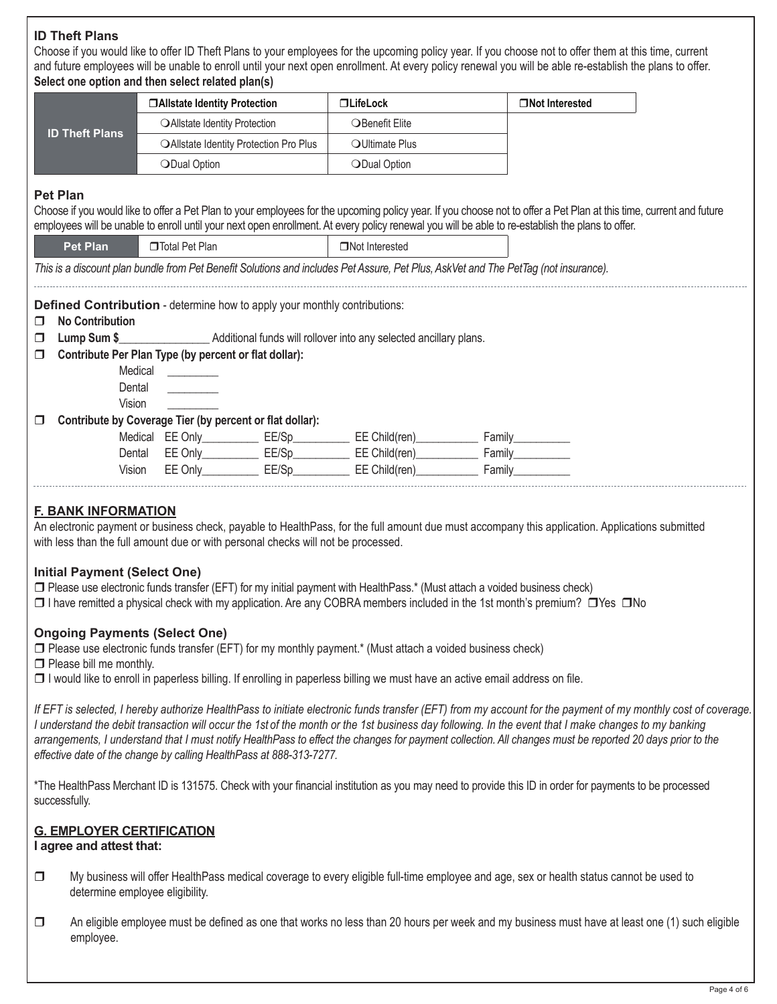# **ID Theft Plans**

Choose if you would like to offer ID Theft Plans to your employees for the upcoming policy year. If you choose not to offer them at this time, current and future employees will be unable to enroll until your next open enrollment. At every policy renewal you will be able re-establish the plans to offer. **Select one option and then select related plan(s)**

| <b>ID Theft Plans</b> | □Allstate Identity Protection        |                                                          | $\Box$ LifeLock                                   | □Not Interested                                                                                                                                                     |  |
|-----------------------|--------------------------------------|----------------------------------------------------------|---------------------------------------------------|---------------------------------------------------------------------------------------------------------------------------------------------------------------------|--|
|                       |                                      | OAllstate Identity Protection                            | OBenefit Elite                                    |                                                                                                                                                                     |  |
|                       |                                      | OAllstate Identity Protection Pro Plus                   | OUItimate Plus                                    |                                                                                                                                                                     |  |
|                       | ODual Option                         |                                                          | ODual Option                                      |                                                                                                                                                                     |  |
|                       |                                      |                                                          |                                                   |                                                                                                                                                                     |  |
| <b>Pet Plan</b>       |                                      |                                                          |                                                   |                                                                                                                                                                     |  |
|                       |                                      |                                                          |                                                   | Choose if you would like to offer a Pet Plan to your employees for the upcoming policy year. If you choose not to offer a Pet Plan at this time, current and future |  |
|                       |                                      |                                                          |                                                   | employees will be unable to enroll until your next open enrollment. At every policy renewal you will be able to re-establish the plans to offer.                    |  |
| <b>Pet Plan</b>       | □Total Pet Plan                      |                                                          | <b>Not Interested</b>                             |                                                                                                                                                                     |  |
|                       |                                      |                                                          |                                                   | This is a discount plan bundle from Pet Benefit Solutions and includes Pet Assure, Pet Plus, AskVet and The PetTag (not insurance).                                 |  |
|                       | Medical ________<br>Dental<br>Vision |                                                          |                                                   |                                                                                                                                                                     |  |
| $\Box$                |                                      | Contribute by Coverage Tier (by percent or flat dollar): |                                                   |                                                                                                                                                                     |  |
|                       |                                      |                                                          | Medical EE Only EE/Sp EE Child(ren) Family Family |                                                                                                                                                                     |  |
|                       |                                      |                                                          | Dental EE Only EE/Sp EE/Sp EE Child(ren) Family   |                                                                                                                                                                     |  |
|                       | Vision                               |                                                          | EE Only EE/Sp EE Child(ren) Family                |                                                                                                                                                                     |  |

#### **Ongoing Payments (Select One)**

- $\square$  Please use electronic funds transfer (EFT) for my monthly payment.\* (Must attach a voided business check)
- $\Box$  Please bill me monthly.
- $\Box$  I would like to enroll in paperless billing. If enrolling in paperless billing we must have an active email address on file.

*If EFT is selected, I hereby authorize HealthPass to initiate electronic funds transfer (EFT) from my account for the payment of my monthly cost of coverage. I understand the debit transaction will occur the 1st of the month or the 1st business day following. In the event that I make changes to my banking arrangements, I understand that I must notify HealthPass to effect the changes for payment collection. All changes must be reported 20 days prior to the effective date of the change by calling HealthPass at 888-313-7277.*

\*The HealthPass Merchant ID is 131575. Check with your financial institution as you may need to provide this ID in order for payments to be processed successfully.

## **G. EMPLOYER CERTIFICATION**

#### **I agree and attest that:**

- □ My business will offer HealthPass medical coverage to every eligible full-time employee and age, sex or health status cannot be used to determine employee eligibility.
- $\Box$  An eligible employee must be defined as one that works no less than 20 hours per week and my business must have at least one (1) such eligible employee.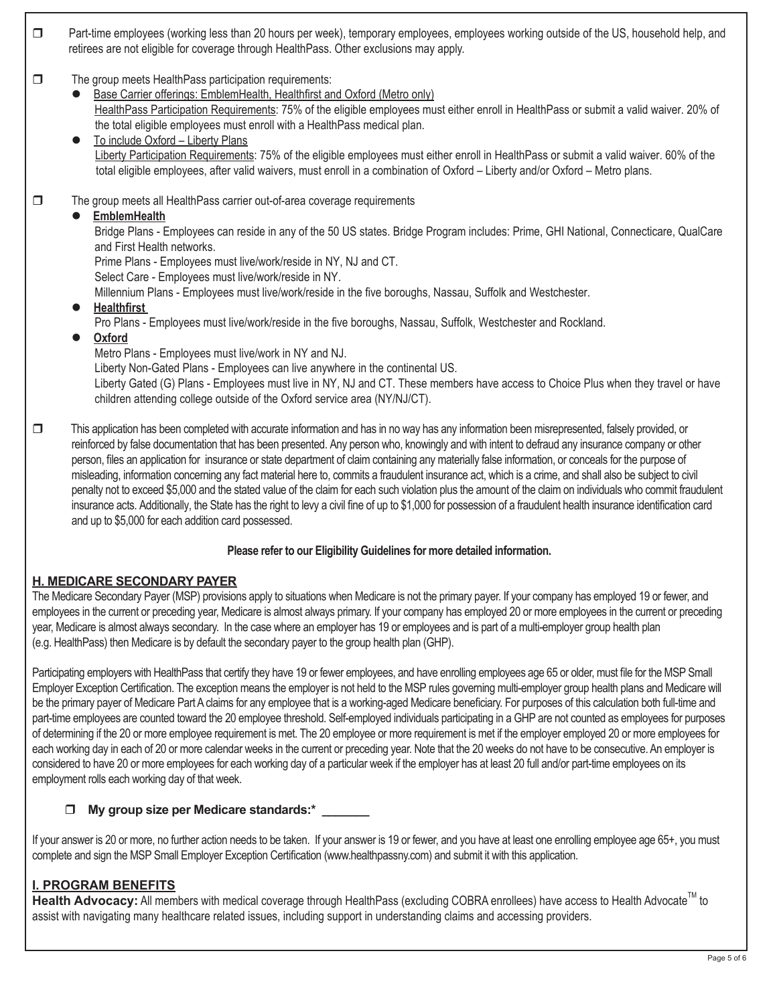- $\Box$  Part-time employees (working less than 20 hours per week), temporary employees, employees working outside of the US, household help, and retirees are not eligible for coverage through HealthPass. Other exclusions may apply.
- $\Box$  The group meets HealthPass participation requirements:
	- Base Carrier offerings: EmblemHealth, Healthfirst and Oxford (Metro only) HealthPass Participation Requirements: 75% of the eligible employees must either enroll in HealthPass or submit a valid waiver. 20% of the total eligible employees must enroll with a HealthPass medical plan.
	- $\bullet$  To include Oxford Liberty Plans Liberty Participation Requirements: 75% of the eligible employees must either enroll in HealthPass or submit a valid waiver. 60% of the total eligible employees, after valid waivers, must enroll in a combination of Oxford – Liberty and/or Oxford – Metro plans.
- $\Box$  The group meets all HealthPass carrier out-of-area coverage requirements

## l **EmblemHealth**

Bridge Plans - Employees can reside in any of the 50 US states. Bridge Program includes: Prime, GHI National, Connecticare, QualCare and First Health networks.

Prime Plans - Employees must live/work/reside in NY, NJ and CT.

Select Care - Employees must live/work/reside in NY.

- Millennium Plans Employees must live/work/reside in the five boroughs, Nassau, Suffolk and Westchester.
- l **Healthfirst**
	- Pro Plans Employees must live/work/reside in the five boroughs, Nassau, Suffolk, Westchester and Rockland.
- l **Oxford**
	- Metro Plans Employees must live/work in NY and NJ.

Liberty Non-Gated Plans - Employees can live anywhere in the continental US.

Liberty Gated (G) Plans - Employees must live in NY, NJ and CT. These members have access to Choice Plus when they travel or have children attending college outside of the Oxford service area (NY/NJ/CT).

 $\square$  This application has been completed with accurate information and has in no way has any information been misrepresented, falsely provided, or reinforced by false documentation that has been presented. Any person who, knowingly and with intent to defraud any insurance company or other person, files an application for insurance or state department of claim containing any materially false information, or conceals for the purpose of misleading, information concerning any fact material here to, commits a fraudulent insurance act, which is a crime, and shall also be subject to civil penalty not to exceed \$5,000 and the stated value of the claim for each such violation plus the amount of the claim on individuals who commit fraudulent insurance acts. Additionally, the State has the right to levy a civil fine of up to \$1,000 for possession of a fraudulent health insurance identification card and up to \$5,000 for each addition card possessed.

## **Please refer to our Eligibility Guidelines for more detailed information.**

## **H. MEDICARE SECONDARY PAYER**

The Medicare Secondary Payer (MSP) provisions apply to situations when Medicare is not the primary payer. If your company has employed 19 or fewer, and employees in the current or preceding year, Medicare is almost always primary. If your company has employed 20 or more employees in the current or preceding year, Medicare is almost always secondary. In the case where an employer has 19 or employees and is part of a multi-employer group health plan (e.g. HealthPass) then Medicare is by default the secondary payer to the group health plan (GHP).

Participating employers with HealthPass that certify they have 19 or fewer employees, and have enrolling employees age 65 or older, must file for the MSP Small Employer Exception Certification. The exception means the employer is not held to the MSP rules governing multi-employer group health plans and Medicare will be the primary payer of Medicare Part A claims for any employee that is a working-aged Medicare beneficiary. For purposes of this calculation both full-time and part-time employees are counted toward the 20 employee threshold. Self-employed individuals participating in a GHP are not counted as employees for purposes of determining if the 20 or more employee requirement is met. The 20 employee or more requirement is met if the employer employed 20 or more employees for each working day in each of 20 or more calendar weeks in the current or preceding year. Note that the 20 weeks do not have to be consecutive. An employer is considered to have 20 or more employees for each working day of a particular week if the employer has at least 20 full and/or part-time employees on its employment rolls each working day of that week.

## **T** My group size per Medicare standards:\*

If your answer is 20 or more, no further action needs to be taken. If your answer is 19 or fewer, and you have at least one enrolling employee age 65+, you must complete and sign the MSP Small Employer Exception Certification [\(www.healthpassny.com\)](http://www.healthpassny.com) and submit it with this application.

# **I. PROGRAM BENEFITS**

Health Advocacy: All members with medical coverage through HealthPass (excluding COBRA enrollees) have access to Health Advocate<sup>™</sup> to assist with navigating many healthcare related issues, including support in understanding claims and accessing providers.